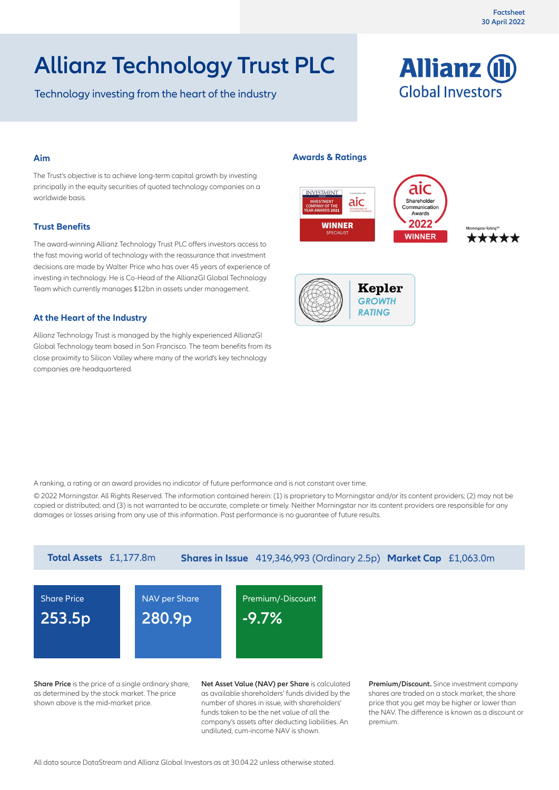# **Allianz Technology Trust PLC**

Technology investing from the heart of the industry



#### **Aim**

The Trust's objective is to achieve long-term capital growth by investing principally in the equity securities of quoted technology companies on a worldwide basis.

#### **Trust Benefits**

The award-winning Allianz Technology Trust PLC offers investors access to the fast moving world of technology with the reassurance that investment decisions are made by Walter Price who has over 45 years of experience of investing in technology. He is Co-Head of the AllianzGI Global Technology Team which currently manages \$12bn in assets under management.

#### **At the Heart of the Industry**

Allianz Technology Trust is managed by the highly experienced AllianzGI Global Technology team based in San Francisco. The team benefits from its close proximity to Silicon Valley where many of the world's key technology companies are headquartered.

#### **Awards & Ratings**





A ranking, a rating or an award provides no indicator of future performance and is not constant over time.

© 2022 Morningstar. All Rights Reserved. The information contained herein: (1) is proprietary to Morningstar and/or its content providers; (2) may not be copied or distributed; and (3) is not warranted to be accurate, complete or timely. Neither Morningstar nor its content providers are responsible for any damages or losses arising from any use of this information. Past performance is no guarantee of future results.



**Share Price** is the price of a single ordinary share, as determined by the stock market. The price shown above is the mid-market price.

**Net Asset Value (NAV) per Share** is calculated as available shareholders' funds divided by the number of shares in issue, with shareholders' funds taken to be the net value of all the company's assets after deducting liabilities. An undiluted, cum-income NAV is shown.

**Premium/Discount.** Since investment company shares are traded on a stock market, the share price that you get may be higher or lower than the NAV. The difference is known as a discount or premium.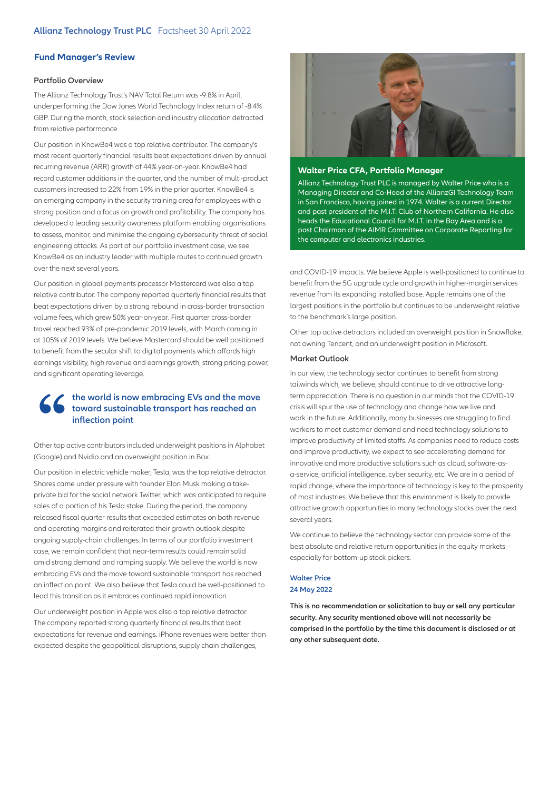#### **Fund Manager's Review**

#### **Portfolio Overview**

The Allianz Technology Trust's NAV Total Return was -9.8% in April, underperforming the Dow Jones World Technology Index return of -8.4% GBP. During the month, stock selection and industry allocation detracted from relative performance.

Our position in KnowBe4 was a top relative contributor. The company's most recent quarterly financial results beat expectations driven by annual recurring revenue (ARR) growth of 44% year-on-year. KnowBe4 had record customer additions in the quarter, and the number of multi-product customers increased to 22% from 19% in the prior quarter. KnowBe4 is an emerging company in the security training area for employees with a strong position and a focus on growth and profitability. The company has developed a leading security awareness platform enabling organisations to assess, monitor, and minimise the ongoing cybersecurity threat of social engineering attacks. As part of our portfolio investment case, we see KnowBe4 as an industry leader with multiple routes to continued growth over the next several years.

Our position in global payments processor Mastercard was also a top relative contributor. The company reported quarterly financial results that beat expectations driven by a strong rebound in cross-border transaction volume fees, which grew 50% year-on-year. First quarter cross-border travel reached 93% of pre-pandemic 2019 levels, with March coming in at 105% of 2019 levels. We believe Mastercard should be well positioned to benefit from the secular shift to digital payments which affords high earnings visibility, high revenue and earnings growth, strong pricing power, and significant operating leverage.

## **the world is now embracing EVs and the move toward sustainable transport has reached an inflection point**

Other top active contributors included underweight positions in Alphabet (Google) and Nvidia and an overweight position in Box.

Our position in electric vehicle maker, Tesla, was the top relative detractor. Shares came under pressure with founder Elon Musk making a takeprivate bid for the social network Twitter, which was anticipated to require sales of a portion of his Tesla stake. During the period, the company released fiscal quarter results that exceeded estimates on both revenue and operating margins and reiterated their growth outlook despite ongoing supply-chain challenges. In terms of our portfolio investment case, we remain confident that near-term results could remain solid amid strong demand and ramping supply. We believe the world is now embracing EVs and the move toward sustainable transport has reached an inflection point. We also believe that Tesla could be well-positioned to lead this transition as it embraces continued rapid innovation.

Our underweight position in Apple was also a top relative detractor. The company reported strong quarterly financial results that beat expectations for revenue and earnings. iPhone revenues were better than expected despite the geopolitical disruptions, supply chain challenges,



#### **Walter Price CFA, Portfolio Manager**

Allianz Technology Trust PLC is managed by Walter Price who is a Managing Director and Co-Head of the AllianzGI Technology Team in San Francisco, having joined in 1974. Walter is a current Director and past president of the M.I.T. Club of Northern California. He also heads the Educational Council for M.I.T. in the Bay Area and is a past Chairman of the AIMR Committee on Corporate Reporting for the computer and electronics industries.

and COVID-19 impacts. We believe Apple is well-positioned to continue to benefit from the 5G upgrade cycle and growth in higher-margin services revenue from its expanding installed base. Apple remains one of the largest positions in the portfolio but continues to be underweight relative to the benchmark's large position.

Other top active detractors included an overweight position in Snowflake, not owning Tencent, and an underweight position in Microsoft.

#### **Market Outlook**

In our view, the technology sector continues to benefit from strong tailwinds which, we believe, should continue to drive attractive longterm appreciation. There is no question in our minds that the COVID-19 crisis will spur the use of technology and change how we live and work in the future. Additionally, many businesses are struggling to find workers to meet customer demand and need technology solutions to improve productivity of limited staffs. As companies need to reduce costs and improve productivity, we expect to see accelerating demand for innovative and more productive solutions such as cloud, software-asa-service, artificial intelligence, cyber security, etc. We are in a period of rapid change, where the importance of technology is key to the prosperity of most industries. We believe that this environment is likely to provide attractive growth opportunities in many technology stocks over the next several years.

We continue to believe the technology sector can provide some of the best absolute and relative return opportunities in the equity markets – especially for bottom-up stock pickers.

#### **Walter Price 24 May 2022**

**This is no recommendation or solicitation to buy or sell any particular security. Any security mentioned above will not necessarily be comprised in the portfolio by the time this document is disclosed or at any other subsequent date.**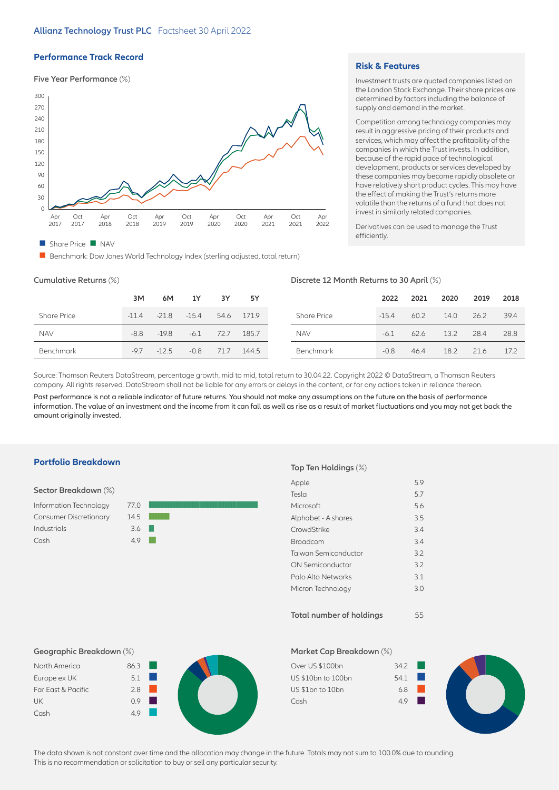#### **Performance Track Record**

#### **Five Year Performance** (%)



**n** Benchmark: Dow Jones World Technology Index (sterling adjusted, total return)

#### **Risk & Features**

Investment trusts are quoted companies listed on the London Stock Exchange. Their share prices are determined by factors including the balance of supply and demand in the market.

Competition among technology companies may result in aggressive pricing of their products and services, which may affect the profitability of the companies in which the Trust invests. In addition, because of the rapid pace of technological development, products or services developed by these companies may become rapidly obsolete or have relatively short product cycles. This may have the effect of making the Trust's returns more volatile than the returns of a fund that does not invest in similarly related companies.

Derivatives can be used to manage the Trust efficiently.

#### **Cumulative Returns** (%) **Discrete 12 Month Returns to 30 April** (%)

|                    |         |               |        |      |            |                    |         | .    |      |      |      |
|--------------------|---------|---------------|--------|------|------------|--------------------|---------|------|------|------|------|
|                    | 3M      | 6M            | 1Y     | 3Y   | 5Y         |                    | 2022    | 2021 | 2020 | 2019 | 2018 |
| <b>Share Price</b> | $-11.4$ | $-21.8 -15.4$ |        |      | 54.6 171.9 | <b>Share Price</b> | $-15.4$ | 60.2 | 14.0 | 26.2 | 39.4 |
| <b>NAV</b>         | $-8.8$  | $-19.8$       | $-6.1$ | 72.7 | 185.7      | <b>NAV</b>         | $-6.1$  | 62.6 | 13.2 | 28.4 | 28.8 |
| Benchmark          | $-9.7$  | $-12.5$       | $-0.8$ | 71.7 | 144.5      | Benchmark          | $-0.8$  | 46.4 | 18.2 | 21.6 | 17.2 |

Source: Thomson Reuters DataStream, percentage growth, mid to mid, total return to 30.04.22. Copyright 2022 © DataStream, a Thomson Reuters company. All rights reserved. DataStream shall not be liable for any errors or delays in the content, or for any actions taken in reliance thereon.

Past performance is not a reliable indicator of future returns. You should not make any assumptions on the future on the basis of performance information. The value of an investment and the income from it can fall as well as rise as a result of market fluctuations and you may not get back the amount originally invested.

#### **Portfolio Breakdown**

| Sector Breakdown (%)          |      |  |
|-------------------------------|------|--|
| Information Technology        | 77.0 |  |
| <b>Consumer Discretionary</b> | 14.5 |  |
| Industrials                   | 36   |  |
| Cash                          | 49   |  |
|                               |      |  |

#### **Top Ten Holdings** (%)

| Apple                | 5.9 |
|----------------------|-----|
| Tesla                | 5.7 |
| Microsoft            | 5.6 |
| Alphabet - A shares  | 3.5 |
| CrowdStrike          | 3.4 |
| Broadcom             | 3.4 |
| Taiwan Semiconductor | 3.2 |
| ON Semiconductor     | 3.2 |
| Palo Alto Networks   | 3.1 |
| Micron Technology    | 3.0 |
|                      |     |
|                      |     |

**Total number of holdings** 55

### **Geographic Breakdown** (%)

| North America      | 86.3 |  |
|--------------------|------|--|
| Europe ex UK       | 5.1  |  |
| Far East & Pacific | 28   |  |
| <b>UK</b>          | 09   |  |
| Cash               | 49   |  |
|                    |      |  |

# **Market Cap Breakdown** (%)

The data shown is not constant over time and the allocation may change in the future. Totals may not sum to 100.0% due to rounding. This is no recommendation or solicitation to buy or sell any particular security.